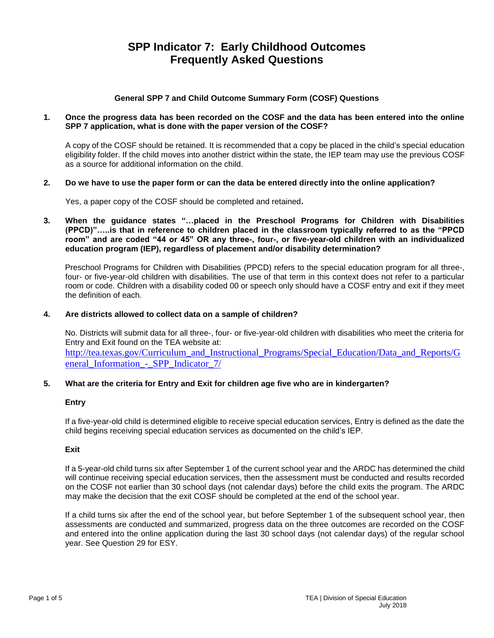# **SPP Indicator 7: Early Childhood Outcomes Frequently Asked Questions**

# **General SPP 7 and Child Outcome Summary Form (COSF) Questions**

## **1. Once the progress data has been recorded on the COSF and the data has been entered into the online SPP 7 application, what is done with the paper version of the COSF?**

A copy of the COSF should be retained. It is recommended that a copy be placed in the child's special education eligibility folder. If the child moves into another district within the state, the IEP team may use the previous COSF as a source for additional information on the child.

## **2. Do we have to use the paper form or can the data be entered directly into the online application?**

Yes, a paper copy of the COSF should be completed and retained**.** 

**3. When the guidance states "…placed in the Preschool Programs for Children with Disabilities (PPCD)"…..is that in reference to children placed in the classroom typically referred to as the "PPCD room" and are coded "44 or 45" OR any three-, four-, or five-year-old children with an individualized education program (IEP), regardless of placement and/or disability determination?**

Preschool Programs for Children with Disabilities (PPCD) refers to the special education program for all three-, four- or five-year-old children with disabilities. The use of that term in this context does not refer to a particular room or code. Children with a disability coded 00 or speech only should have a COSF entry and exit if they meet the definition of each.

## **4. Are districts allowed to collect data on a sample of children?**

No. Districts will submit data for all three-, four- or five-year-old children with disabilities who meet the criteria for Entry and Exit found on the TEA website at: [http://tea.texas.gov/Curriculum\\_and\\_Instructional\\_Programs/Special\\_Education/Data\\_and\\_Reports/G](http://tea.texas.gov/Curriculum_and_Instructional_Programs/Special_Education/Data_and_Reports/General_Information_-_SPP_Indicator_7/) eneral\_Information - SPP\_Indicator 7/

## **5. What are the criteria for Entry and Exit for children age five who are in kindergarten?**

## **Entry**

If a five-year-old child is determined eligible to receive special education services, Entry is defined as the date the child begins receiving special education services as documented on the child's IEP.

## **Exit**

If a 5-year-old child turns six after September 1 of the current school year and the ARDC has determined the child will continue receiving special education services, then the assessment must be conducted and results recorded on the COSF not earlier than 30 school days (not calendar days) before the child exits the program. The ARDC may make the decision that the exit COSF should be completed at the end of the school year.

If a child turns six after the end of the school year, but before September 1 of the subsequent school year, then assessments are conducted and summarized, progress data on the three outcomes are recorded on the COSF and entered into the online application during the last 30 school days (not calendar days) of the regular school year. See Question 29 for ESY.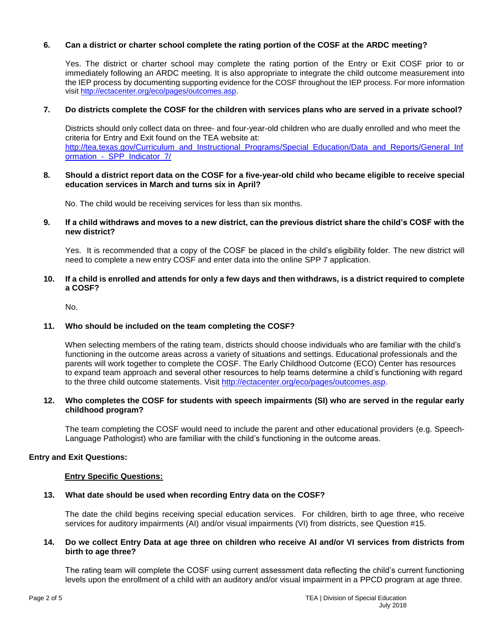# **6. Can a district or charter school complete the rating portion of the COSF at the ARDC meeting?**

Yes. The district or charter school may complete the rating portion of the Entry or Exit COSF prior to or immediately following an ARDC meeting. It is also appropriate to integrate the child outcome measurement into the IEP process by documenting supporting evidence for the COSF throughout the IEP process. For more information visit [http://ectacenter.org/eco/pages/outcomes.asp.](http://ectacenter.org/eco/pages/outcomes.asp)

## **7. Do districts complete the COSF for the children with services plans who are served in a private school?**

Districts should only collect data on three- and four-year-old children who are dually enrolled and who meet the criteria for Entry and Exit found on the TEA website at: [http://tea.texas.gov/Curriculum\\_and\\_Instructional\\_Programs/Special\\_Education/Data\\_and\\_Reports/General\\_Inf](http://tea.texas.gov/Curriculum_and_Instructional_Programs/Special_Education/Data_and_Reports/General_Information_-_SPP_Indicator_7/) ormation - SPP\_Indicator\_7/

#### **8. Should a district report data on the COSF for a five-year-old child who became eligible to receive special education services in March and turns six in April?**

No. The child would be receiving services for less than six months.

#### **9. If a child withdraws and moves to a new district, can the previous district share the child's COSF with the new district?**

Yes. It is recommended that a copy of the COSF be placed in the child's eligibility folder. The new district will need to complete a new entry COSF and enter data into the online SPP 7 application.

## **10. If a child is enrolled and attends for only a few days and then withdraws, is a district required to complete a COSF?**

No.

## **11. Who should be included on the team completing the COSF?**

When selecting members of the rating team, districts should choose individuals who are familiar with the child's functioning in the outcome areas across a variety of situations and settings. Educational professionals and the parents will work together to complete the COSF. The Early Childhood Outcome (ECO) Center has resources to expand team approach and several other resources to help teams determine a child's functioning with regard to the three child outcome statements. Visit [http://ectacenter.org/eco/pages/outcomes.asp.](http://ectacenter.org/eco/pages/outcomes.asp)

## **12. Who completes the COSF for students with speech impairments (SI) who are served in the regular early childhood program?**

The team completing the COSF would need to include the parent and other educational providers (e.g. Speech-Language Pathologist) who are familiar with the child's functioning in the outcome areas.

## **Entry and Exit Questions:**

## **Entry Specific Questions:**

## **13. What date should be used when recording Entry data on the COSF?**

The date the child begins receiving special education services. For children, birth to age three, who receive services for auditory impairments (AI) and/or visual impairments (VI) from districts, see Question #15.

#### **14. Do we collect Entry Data at age three on children who receive AI and/or VI services from districts from birth to age three?**

The rating team will complete the COSF using current assessment data reflecting the child's current functioning levels upon the enrollment of a child with an auditory and/or visual impairment in a PPCD program at age three.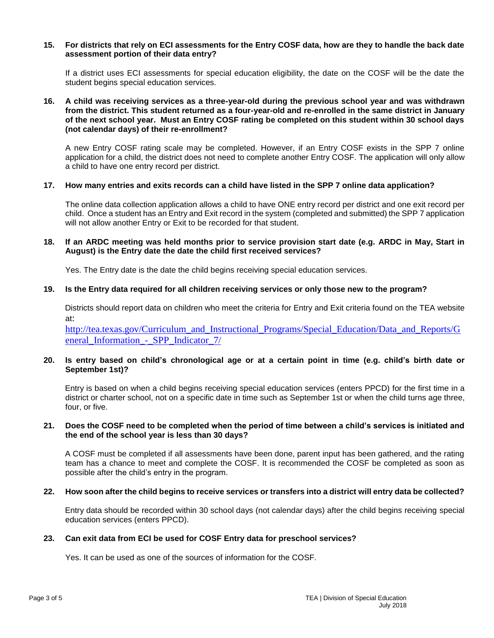#### **15. For districts that rely on ECI assessments for the Entry COSF data, how are they to handle the back date assessment portion of their data entry?**

If a district uses ECI assessments for special education eligibility, the date on the COSF will be the date the student begins special education services.

## **16. A child was receiving services as a three-year-old during the previous school year and was withdrawn from the district. This student returned as a four-year-old and re-enrolled in the same district in January of the next school year. Must an Entry COSF rating be completed on this student within 30 school days (not calendar days) of their re-enrollment?**

A new Entry COSF rating scale may be completed. However, if an Entry COSF exists in the SPP 7 online application for a child, the district does not need to complete another Entry COSF. The application will only allow a child to have one entry record per district.

## **17. How many entries and exits records can a child have listed in the SPP 7 online data application?**

The online data collection application allows a child to have ONE entry record per district and one exit record per child. Once a student has an Entry and Exit record in the system (completed and submitted) the SPP 7 application will not allow another Entry or Exit to be recorded for that student.

## **18. If an ARDC meeting was held months prior to service provision start date (e.g. ARDC in May, Start in August) is the Entry date the date the child first received services?**

Yes. The Entry date is the date the child begins receiving special education services.

## **19. Is the Entry data required for all children receiving services or only those new to the program?**

Districts should report data on children who meet the criteria for Entry and Exit criteria found on the TEA website at:

[http://tea.texas.gov/Curriculum\\_and\\_Instructional\\_Programs/Special\\_Education/Data\\_and\\_Reports/G](http://tea.texas.gov/Curriculum_and_Instructional_Programs/Special_Education/Data_and_Reports/General_Information_-_SPP_Indicator_7/) [eneral\\_Information\\_-\\_SPP\\_Indicator\\_7/](http://tea.texas.gov/Curriculum_and_Instructional_Programs/Special_Education/Data_and_Reports/General_Information_-_SPP_Indicator_7/)

## **20. Is entry based on child's chronological age or at a certain point in time (e.g. child's birth date or September 1st)?**

Entry is based on when a child begins receiving special education services (enters PPCD) for the first time in a district or charter school, not on a specific date in time such as September 1st or when the child turns age three, four, or five.

## **21. Does the COSF need to be completed when the period of time between a child's services is initiated and the end of the school year is less than 30 days?**

A COSF must be completed if all assessments have been done, parent input has been gathered, and the rating team has a chance to meet and complete the COSF. It is recommended the COSF be completed as soon as possible after the child's entry in the program.

## **22. How soon after the child begins to receive services or transfers into a district will entry data be collected?**

Entry data should be recorded within 30 school days (not calendar days) after the child begins receiving special education services (enters PPCD).

## **23. Can exit data from ECI be used for COSF Entry data for preschool services?**

Yes. It can be used as one of the sources of information for the COSF.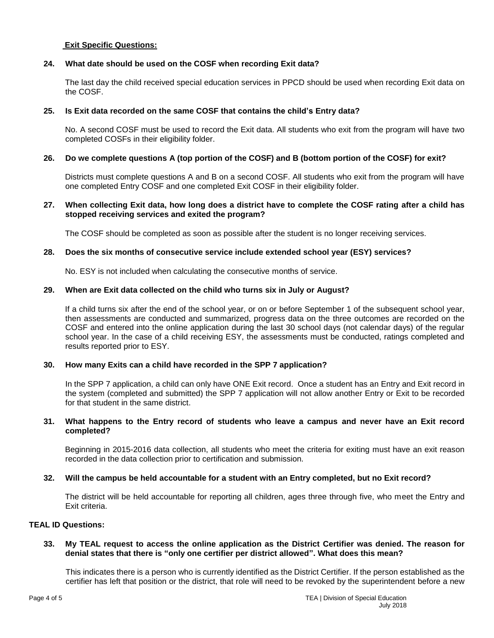## **Exit Specific Questions:**

#### **24. What date should be used on the COSF when recording Exit data?**

The last day the child received special education services in PPCD should be used when recording Exit data on the COSF.

#### **25. Is Exit data recorded on the same COSF that contains the child's Entry data?**

No. A second COSF must be used to record the Exit data. All students who exit from the program will have two completed COSFs in their eligibility folder.

#### **26. Do we complete questions A (top portion of the COSF) and B (bottom portion of the COSF) for exit?**

Districts must complete questions A and B on a second COSF. All students who exit from the program will have one completed Entry COSF and one completed Exit COSF in their eligibility folder.

#### **27. When collecting Exit data, how long does a district have to complete the COSF rating after a child has stopped receiving services and exited the program?**

The COSF should be completed as soon as possible after the student is no longer receiving services.

#### **28. Does the six months of consecutive service include extended school year (ESY) services?**

No. ESY is not included when calculating the consecutive months of service.

#### **29. When are Exit data collected on the child who turns six in July or August?**

If a child turns six after the end of the school year, or on or before September 1 of the subsequent school year, then assessments are conducted and summarized, progress data on the three outcomes are recorded on the COSF and entered into the online application during the last 30 school days (not calendar days) of the regular school year. In the case of a child receiving ESY, the assessments must be conducted, ratings completed and results reported prior to ESY.

## **30. How many Exits can a child have recorded in the SPP 7 application?**

In the SPP 7 application, a child can only have ONE Exit record. Once a student has an Entry and Exit record in the system (completed and submitted) the SPP 7 application will not allow another Entry or Exit to be recorded for that student in the same district.

## **31. What happens to the Entry record of students who leave a campus and never have an Exit record completed?**

Beginning in 2015-2016 data collection, all students who meet the criteria for exiting must have an exit reason recorded in the data collection prior to certification and submission.

#### **32. Will the campus be held accountable for a student with an Entry completed, but no Exit record?**

The district will be held accountable for reporting all children, ages three through five, who meet the Entry and Exit criteria.

#### **TEAL ID Questions:**

#### **33. My TEAL request to access the online application as the District Certifier was denied. The reason for denial states that there is "only one certifier per district allowed". What does this mean?**

This indicates there is a person who is currently identified as the District Certifier. If the person established as the certifier has left that position or the district, that role will need to be revoked by the superintendent before a new